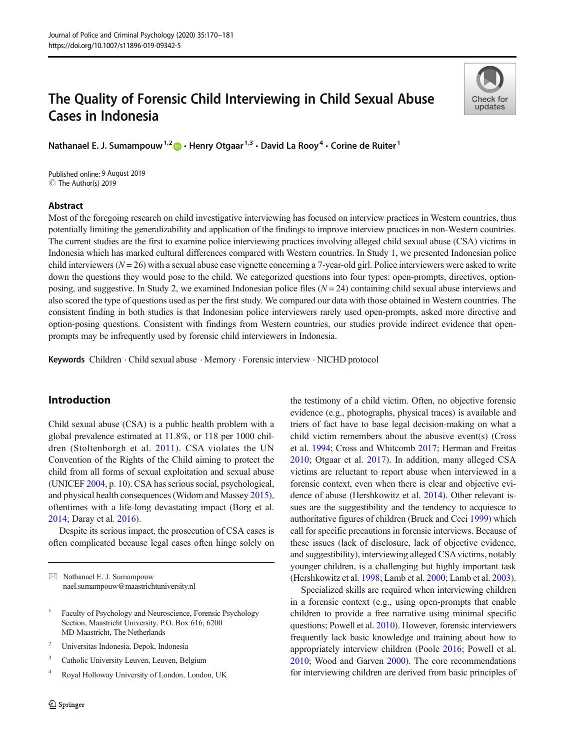# The Quality of Forensic Child Interviewing in Child Sexual Abuse Cases in Indonesia

Nathanael E. J. Sumampouw<sup>1,2</sup>  $\bullet$  · Henry Otgaar<sup>1,3</sup> · David La Rooy<sup>4</sup> · Corine de Ruiter<sup>1</sup>

C The Author(s) 2019 Published online: 9 August 2019

# Abstract

Check for undates

Most of the foregoing research on child investigative interviewing has focused on interview practices in Western countries, thus potentially limiting the generalizability and application of the findings to improve interview practices in non-Western countries. The current studies are the first to examine police interviewing practices involving alleged child sexual abuse (CSA) victims in Indonesia which has marked cultural differences compared with Western countries. In Study 1, we presented Indonesian police child interviewers ( $N = 26$ ) with a sexual abuse case vignette concerning a 7-year-old girl. Police interviewers were asked to write down the questions they would pose to the child. We categorized questions into four types: open-prompts, directives, optionposing, and suggestive. In Study 2, we examined Indonesian police files  $(N = 24)$  containing child sexual abuse interviews and also scored the type of questions used as per the first study. We compared our data with those obtained in Western countries. The consistent finding in both studies is that Indonesian police interviewers rarely used open-prompts, asked more directive and option-posing questions. Consistent with findings from Western countries, our studies provide indirect evidence that openprompts may be infrequently used by forensic child interviewers in Indonesia.

Keywords Children . Child sexual abuse . Memory . Forensic interview . NICHD protocol

# Introduction

Child sexual abuse (CSA) is a public health problem with a global prevalence estimated at 11.8%, or 118 per 1000 children (Stoltenborgh et al. [2011](#page-11-0)). CSA violates the UN Convention of the Rights of the Child aiming to protect the child from all forms of sexual exploitation and sexual abuse (UNICEF [2004,](#page-11-0) p. 10). CSA has serious social, psychological, and physical health consequences (Widom and Massey [2015\)](#page-11-0), oftentimes with a life-long devastating impact (Borg et al. [2014;](#page-9-0) Daray et al. [2016](#page-9-0)).

Despite its serious impact, the prosecution of CSA cases is often complicated because legal cases often hinge solely on

 $\boxtimes$  Nathanael E. J. Sumampouw [nael.sumampouw@maastrichtuniversity.nl](mailto:nael.sumampouw@maastrichtuniversity.nl)

- <sup>2</sup> Universitas Indonesia, Depok, Indonesia
- <sup>3</sup> Catholic University Leuven, Leuven, Belgium
- <sup>4</sup> Royal Holloway University of London, London, UK

the testimony of a child victim. Often, no objective forensic evidence (e.g., photographs, physical traces) is available and triers of fact have to base legal decision-making on what a child victim remembers about the abusive event(s) (Cross et al. [1994](#page-9-0); Cross and Whitcomb [2017;](#page-9-0) Herman and Freitas [2010](#page-10-0); Otgaar et al. [2017](#page-10-0)). In addition, many alleged CSA victims are reluctant to report abuse when interviewed in a forensic context, even when there is clear and objective evidence of abuse (Hershkowitz et al. [2014\)](#page-10-0). Other relevant issues are the suggestibility and the tendency to acquiesce to authoritative figures of children (Bruck and Ceci [1999\)](#page-9-0) which call for specific precautions in forensic interviews. Because of these issues (lack of disclosure, lack of objective evidence, and suggestibility), interviewing alleged CSA victims, notably younger children, is a challenging but highly important task (Hershkowitz et al. [1998](#page-10-0); Lamb et al. [2000;](#page-10-0) Lamb et al. [2003\)](#page-10-0).

Specialized skills are required when interviewing children in a forensic context (e.g., using open-prompts that enable children to provide a free narrative using minimal specific questions; Powell et al. [2010](#page-10-0)). However, forensic interviewers frequently lack basic knowledge and training about how to appropriately interview children (Poole [2016;](#page-10-0) Powell et al. [2010;](#page-10-0) Wood and Garven [2000\)](#page-11-0). The core recommendations for interviewing children are derived from basic principles of

<sup>&</sup>lt;sup>1</sup> Faculty of Psychology and Neuroscience, Forensic Psychology Section, Maastricht University, P.O. Box 616, 6200 MD Maastricht, The Netherlands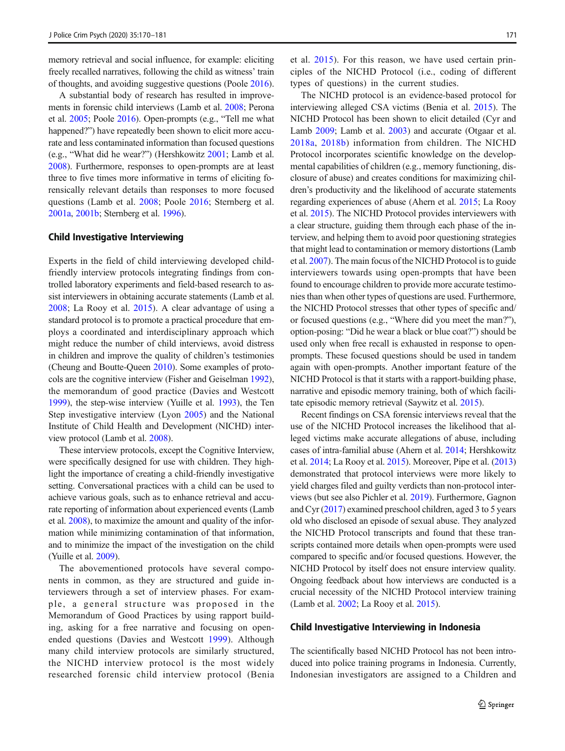memory retrieval and social influence, for example: eliciting freely recalled narratives, following the child as witness' train of thoughts, and avoiding suggestive questions (Poole [2016\)](#page-10-0).

A substantial body of research has resulted in improvements in forensic child interviews (Lamb et al. [2008;](#page-10-0) Perona et al. [2005;](#page-10-0) Poole [2016](#page-10-0)). Open-prompts (e.g., "Tell me what happened?") have repeatedly been shown to elicit more accurate and less contaminated information than focused questions (e.g., "What did he wear?") (Hershkowitz [2001](#page-10-0); Lamb et al. [2008\)](#page-10-0). Furthermore, responses to open-prompts are at least three to five times more informative in terms of eliciting forensically relevant details than responses to more focused questions (Lamb et al. [2008;](#page-10-0) Poole [2016;](#page-10-0) Sternberg et al. [2001a,](#page-11-0) [2001b](#page-11-0); Sternberg et al. [1996\)](#page-11-0).

## Child Investigative Interviewing

Experts in the field of child interviewing developed childfriendly interview protocols integrating findings from controlled laboratory experiments and field-based research to assist interviewers in obtaining accurate statements (Lamb et al. [2008;](#page-10-0) La Rooy et al. [2015\)](#page-10-0). A clear advantage of using a standard protocol is to promote a practical procedure that employs a coordinated and interdisciplinary approach which might reduce the number of child interviews, avoid distress in children and improve the quality of children's testimonies (Cheung and Boutte-Queen [2010](#page-9-0)). Some examples of protocols are the cognitive interview (Fisher and Geiselman [1992\)](#page-9-0), the memorandum of good practice (Davies and Westcott [1999\)](#page-9-0), the step-wise interview (Yuille et al. [1993\)](#page-11-0), the Ten Step investigative interview (Lyon [2005](#page-10-0)) and the National Institute of Child Health and Development (NICHD) interview protocol (Lamb et al. [2008\)](#page-10-0).

These interview protocols, except the Cognitive Interview, were specifically designed for use with children. They highlight the importance of creating a child-friendly investigative setting. Conversational practices with a child can be used to achieve various goals, such as to enhance retrieval and accurate reporting of information about experienced events (Lamb et al. [2008\)](#page-10-0), to maximize the amount and quality of the information while minimizing contamination of that information, and to minimize the impact of the investigation on the child (Yuille et al. [2009\)](#page-11-0).

The abovementioned protocols have several components in common, as they are structured and guide interviewers through a set of interview phases. For example, a general structure was proposed in the Memorandum of Good Practices by using rapport building, asking for a free narrative and focusing on openended questions (Davies and Westcott [1999\)](#page-9-0). Although many child interview protocols are similarly structured, the NICHD interview protocol is the most widely researched forensic child interview protocol (Benia et al. [2015\)](#page-9-0). For this reason, we have used certain principles of the NICHD Protocol (i.e., coding of different types of questions) in the current studies.

The NICHD protocol is an evidence-based protocol for interviewing alleged CSA victims (Benia et al. [2015\)](#page-9-0). The NICHD Protocol has been shown to elicit detailed (Cyr and Lamb [2009;](#page-9-0) Lamb et al. [2003](#page-10-0)) and accurate (Otgaar et al. [2018a,](#page-10-0) [2018b\)](#page-10-0) information from children. The NICHD Protocol incorporates scientific knowledge on the developmental capabilities of children (e.g., memory functioning, disclosure of abuse) and creates conditions for maximizing children's productivity and the likelihood of accurate statements regarding experiences of abuse (Ahern et al. [2015;](#page-9-0) La Rooy et al. [2015\)](#page-10-0). The NICHD Protocol provides interviewers with a clear structure, guiding them through each phase of the interview, and helping them to avoid poor questioning strategies that might lead to contamination or memory distortions (Lamb et al. [2007\)](#page-10-0). The main focus of the NICHD Protocol is to guide interviewers towards using open-prompts that have been found to encourage children to provide more accurate testimonies than when other types of questions are used. Furthermore, the NICHD Protocol stresses that other types of specific and/ or focused questions (e.g., "Where did you meet the man?"), option-posing: "Did he wear a black or blue coat?") should be used only when free recall is exhausted in response to openprompts. These focused questions should be used in tandem again with open-prompts. Another important feature of the NICHD Protocol is that it starts with a rapport-building phase, narrative and episodic memory training, both of which facilitate episodic memory retrieval (Saywitz et al. [2015\)](#page-11-0).

Recent findings on CSA forensic interviews reveal that the use of the NICHD Protocol increases the likelihood that alleged victims make accurate allegations of abuse, including cases of intra-familial abuse (Ahern et al. [2014](#page-9-0); Hershkowitz et al. [2014](#page-10-0); La Rooy et al. [2015\)](#page-10-0). Moreover, Pipe et al. [\(2013](#page-10-0)) demonstrated that protocol interviews were more likely to yield charges filed and guilty verdicts than non-protocol interviews (but see also Pichler et al. [2019](#page-10-0)). Furthermore, Gagnon and Cyr ([2017](#page-9-0)) examined preschool children, aged 3 to 5 years old who disclosed an episode of sexual abuse. They analyzed the NICHD Protocol transcripts and found that these transcripts contained more details when open-prompts were used compared to specific and/or focused questions. However, the NICHD Protocol by itself does not ensure interview quality. Ongoing feedback about how interviews are conducted is a crucial necessity of the NICHD Protocol interview training (Lamb et al. [2002;](#page-10-0) La Rooy et al. [2015\)](#page-10-0).

#### Child Investigative Interviewing in Indonesia

The scientifically based NICHD Protocol has not been introduced into police training programs in Indonesia. Currently, Indonesian investigators are assigned to a Children and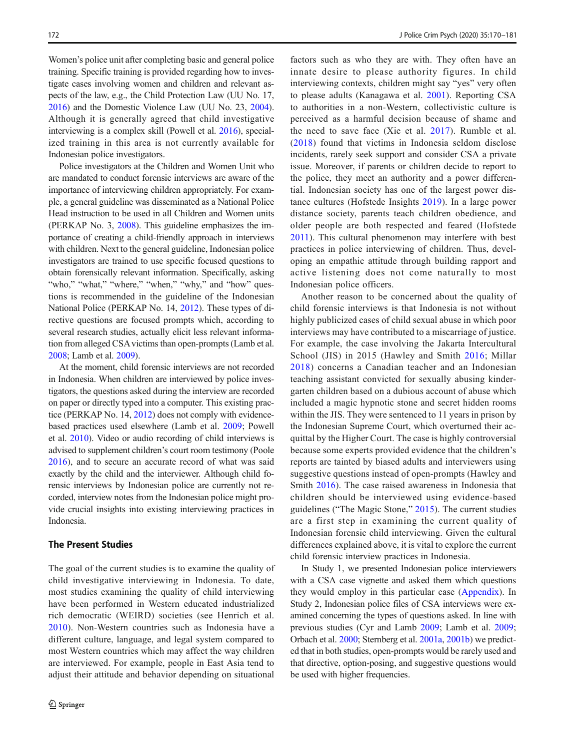Women's police unit after completing basic and general police training. Specific training is provided regarding how to investigate cases involving women and children and relevant aspects of the law, e.g., the Child Protection Law (UU No. 17, [2016\)](#page-11-0) and the Domestic Violence Law (UU No. 23, [2004\)](#page-10-0). Although it is generally agreed that child investigative interviewing is a complex skill (Powell et al. [2016\)](#page-10-0), specialized training in this area is not currently available for Indonesian police investigators.

Police investigators at the Children and Women Unit who are mandated to conduct forensic interviews are aware of the importance of interviewing children appropriately. For example, a general guideline was disseminated as a National Police Head instruction to be used in all Children and Women units (PERKAP No. 3, [2008](#page-10-0)). This guideline emphasizes the importance of creating a child-friendly approach in interviews with children. Next to the general guideline, Indonesian police investigators are trained to use specific focused questions to obtain forensically relevant information. Specifically, asking "who," "what," "where," "when," "why," and "how" questions is recommended in the guideline of the Indonesian National Police (PERKAP No. 14, [2012\)](#page-10-0). These types of directive questions are focused prompts which, according to several research studies, actually elicit less relevant information from alleged CSA victims than open-prompts (Lamb et al. [2008;](#page-10-0) Lamb et al. [2009](#page-10-0)).

At the moment, child forensic interviews are not recorded in Indonesia. When children are interviewed by police investigators, the questions asked during the interview are recorded on paper or directly typed into a computer. This existing practice (PERKAP No. 14, [2012\)](#page-10-0) does not comply with evidencebased practices used elsewhere (Lamb et al. [2009](#page-10-0); Powell et al. [2010](#page-10-0)). Video or audio recording of child interviews is advised to supplement children's court room testimony (Poole [2016](#page-10-0)), and to secure an accurate record of what was said exactly by the child and the interviewer. Although child forensic interviews by Indonesian police are currently not recorded, interview notes from the Indonesian police might provide crucial insights into existing interviewing practices in Indonesia.

# The Present Studies

The goal of the current studies is to examine the quality of child investigative interviewing in Indonesia. To date, most studies examining the quality of child interviewing have been performed in Western educated industrialized rich democratic (WEIRD) societies (see Henrich et al. [2010](#page-9-0)). Non-Western countries such as Indonesia have a different culture, language, and legal system compared to most Western countries which may affect the way children are interviewed. For example, people in East Asia tend to adjust their attitude and behavior depending on situational

factors such as who they are with. They often have an innate desire to please authority figures. In child interviewing contexts, children might say "yes" very often to please adults (Kanagawa et al. [2001](#page-10-0)). Reporting CSA to authorities in a non-Western, collectivistic culture is perceived as a harmful decision because of shame and the need to save face (Xie et al. [2017\)](#page-11-0). Rumble et al. [\(2018](#page-11-0)) found that victims in Indonesia seldom disclose incidents, rarely seek support and consider CSA a private issue. Moreover, if parents or children decide to report to the police, they meet an authority and a power differential. Indonesian society has one of the largest power distance cultures (Hofstede Insights [2019\)](#page-10-0). In a large power distance society, parents teach children obedience, and older people are both respected and feared (Hofstede [2011](#page-10-0)). This cultural phenomenon may interfere with best practices in police interviewing of children. Thus, developing an empathic attitude through building rapport and active listening does not come naturally to most Indonesian police officers.

Another reason to be concerned about the quality of child forensic interviews is that Indonesia is not without highly publicized cases of child sexual abuse in which poor interviews may have contributed to a miscarriage of justice. For example, the case involving the Jakarta Intercultural School (JIS) in 2015 (Hawley and Smith [2016](#page-9-0); Millar [2018\)](#page-10-0) concerns a Canadian teacher and an Indonesian teaching assistant convicted for sexually abusing kindergarten children based on a dubious account of abuse which included a magic hypnotic stone and secret hidden rooms within the JIS. They were sentenced to 11 years in prison by the Indonesian Supreme Court, which overturned their acquittal by the Higher Court. The case is highly controversial because some experts provided evidence that the children's reports are tainted by biased adults and interviewers using suggestive questions instead of open-prompts (Hawley and Smith [2016\)](#page-9-0). The case raised awareness in Indonesia that children should be interviewed using evidence-based guidelines ("The Magic Stone," [2015](#page-11-0)). The current studies are a first step in examining the current quality of Indonesian forensic child interviewing. Given the cultural differences explained above, it is vital to explore the current child forensic interview practices in Indonesia.

In Study 1, we presented Indonesian police interviewers with a CSA case vignette and asked them which questions they would employ in this particular case ([Appendix](#page-9-0)). In Study 2, Indonesian police files of CSA interviews were examined concerning the types of questions asked. In line with previous studies (Cyr and Lamb [2009](#page-9-0); Lamb et al. [2009;](#page-10-0) Orbach et al. [2000](#page-10-0); Sternberg et al. [2001a](#page-11-0), [2001b](#page-11-0)) we predicted that in both studies, open-prompts would be rarely used and that directive, option-posing, and suggestive questions would be used with higher frequencies.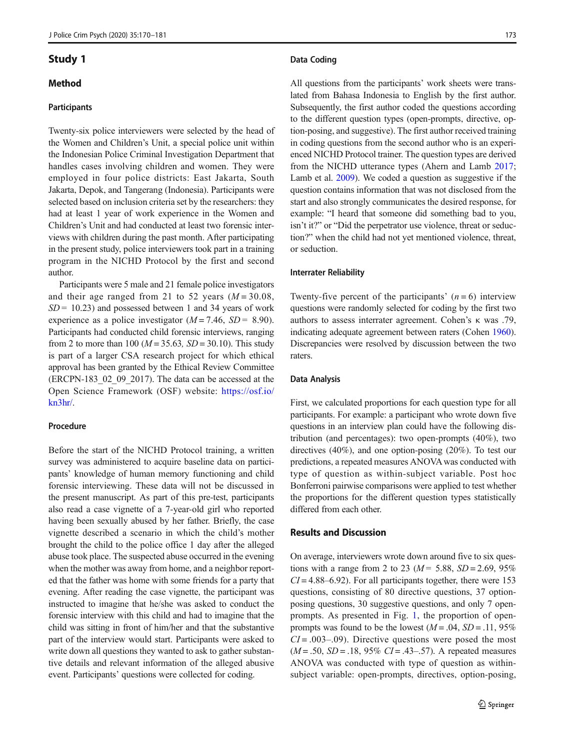# Study 1

# Method

## Participants

Twenty-six police interviewers were selected by the head of the Women and Children's Unit, a special police unit within the Indonesian Police Criminal Investigation Department that handles cases involving children and women. They were employed in four police districts: East Jakarta, South Jakarta, Depok, and Tangerang (Indonesia). Participants were selected based on inclusion criteria set by the researchers: they had at least 1 year of work experience in the Women and Children's Unit and had conducted at least two forensic interviews with children during the past month. After participating in the present study, police interviewers took part in a training program in the NICHD Protocol by the first and second author.

Participants were 5 male and 21 female police investigators and their age ranged from 21 to 52 years  $(M = 30.08$ ,  $SD = 10.23$ ) and possessed between 1 and 34 years of work experience as a police investigator  $(M = 7.46, SD = 8.90)$ . Participants had conducted child forensic interviews, ranging from 2 to more than 100 ( $M = 35.63$ ,  $SD = 30.10$ ). This study is part of a larger CSA research project for which ethical approval has been granted by the Ethical Review Committee (ERCPN-183\_02\_09\_2017). The data can be accessed at the Open Science Framework (OSF) website: [https://osf.io/](https://osf.io/kn3hr/) [kn3hr/](https://osf.io/kn3hr/).

# Procedure

Before the start of the NICHD Protocol training, a written survey was administered to acquire baseline data on participants' knowledge of human memory functioning and child forensic interviewing. These data will not be discussed in the present manuscript. As part of this pre-test, participants also read a case vignette of a 7-year-old girl who reported having been sexually abused by her father. Briefly, the case vignette described a scenario in which the child's mother brought the child to the police office 1 day after the alleged abuse took place. The suspected abuse occurred in the evening when the mother was away from home, and a neighbor reported that the father was home with some friends for a party that evening. After reading the case vignette, the participant was instructed to imagine that he/she was asked to conduct the forensic interview with this child and had to imagine that the child was sitting in front of him/her and that the substantive part of the interview would start. Participants were asked to write down all questions they wanted to ask to gather substantive details and relevant information of the alleged abusive event. Participants' questions were collected for coding.

#### Data Coding

All questions from the participants' work sheets were translated from Bahasa Indonesia to English by the first author. Subsequently, the first author coded the questions according to the different question types (open-prompts, directive, option-posing, and suggestive). The first author received training in coding questions from the second author who is an experienced NICHD Protocol trainer. The question types are derived from the NICHD utterance types (Ahern and Lamb [2017;](#page-9-0) Lamb et al. [2009](#page-10-0)). We coded a question as suggestive if the question contains information that was not disclosed from the start and also strongly communicates the desired response, for example: "I heard that someone did something bad to you, isn't it?" or "Did the perpetrator use violence, threat or seduction?" when the child had not yet mentioned violence, threat, or seduction.

#### Interrater Reliability

Twenty-five percent of the participants'  $(n = 6)$  interview questions were randomly selected for coding by the first two authors to assess interrater agreement. Cohen's κ was .79, indicating adequate agreement between raters (Cohen [1960\)](#page-9-0). Discrepancies were resolved by discussion between the two raters.

#### Data Analysis

First, we calculated proportions for each question type for all participants. For example: a participant who wrote down five questions in an interview plan could have the following distribution (and percentages): two open-prompts (40%), two directives (40%), and one option-posing (20%). To test our predictions, a repeated measures ANOVAwas conducted with type of question as within-subject variable. Post hoc Bonferroni pairwise comparisons were applied to test whether the proportions for the different question types statistically differed from each other.

# Results and Discussion

On average, interviewers wrote down around five to six questions with a range from 2 to 23 ( $M = 5.88$ ,  $SD = 2.69$ , 95%  $CI = 4.88 - 6.92$ . For all participants together, there were 153 questions, consisting of 80 directive questions, 37 optionposing questions, 30 suggestive questions, and only 7 openprompts. As presented in Fig. [1,](#page-4-0) the proportion of openprompts was found to be the lowest  $(M = .04, SD = .11, 95\%)$  $CI = .003 - .09$ ). Directive questions were posed the most  $(M = .50, SD = .18, 95\% CI = .43-.57)$ . A repeated measures ANOVA was conducted with type of question as withinsubject variable: open-prompts, directives, option-posing,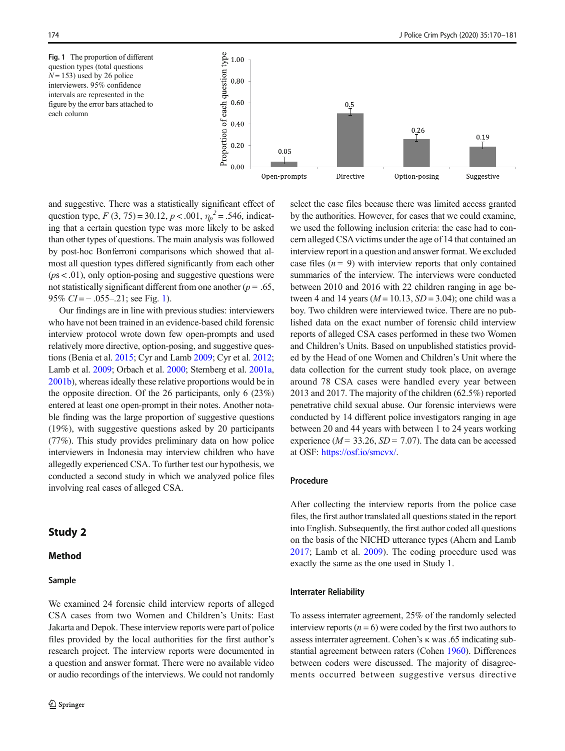<span id="page-4-0"></span>Fig. 1 The proportion of different question types (total questions  $N = 153$ ) used by 26 police interviewers. 95% confidence intervals are represented in the figure by the error bars attached to each column



and suggestive. There was a statistically significant effect of question type,  $F(3, 75) = 30.12, p < .001, \eta_p^2 = .546$ , indicating that a certain question type was more likely to be asked than other types of questions. The main analysis was followed by post-hoc Bonferroni comparisons which showed that almost all question types differed significantly from each other  $(ps < .01)$ , only option-posing and suggestive questions were not statistically significant different from one another ( $p = .65$ , 95%  $CI = -.055-.21$ ; see Fig. 1).

Our findings are in line with previous studies: interviewers who have not been trained in an evidence-based child forensic interview protocol wrote down few open-prompts and used relatively more directive, option-posing, and suggestive questions (Benia et al. [2015;](#page-9-0) Cyr and Lamb [2009;](#page-9-0) Cyr et al. [2012](#page-9-0); Lamb et al. [2009;](#page-10-0) Orbach et al. [2000;](#page-10-0) Sternberg et al. [2001a,](#page-11-0) [2001b](#page-11-0)), whereas ideally these relative proportions would be in the opposite direction. Of the 26 participants, only 6 (23%) entered at least one open-prompt in their notes. Another notable finding was the large proportion of suggestive questions (19%), with suggestive questions asked by 20 participants (77%). This study provides preliminary data on how police interviewers in Indonesia may interview children who have allegedly experienced CSA. To further test our hypothesis, we conducted a second study in which we analyzed police files involving real cases of alleged CSA.

# Study 2

# Method

## Sample

We examined 24 forensic child interview reports of alleged CSA cases from two Women and Children's Units: East Jakarta and Depok. These interview reports were part of police files provided by the local authorities for the first author's research project. The interview reports were documented in a question and answer format. There were no available video or audio recordings of the interviews. We could not randomly select the case files because there was limited access granted by the authorities. However, for cases that we could examine, we used the following inclusion criteria: the case had to concern alleged CSA victims under the age of 14 that contained an interview report in a question and answer format. We excluded case files  $(n = 9)$  with interview reports that only contained summaries of the interview. The interviews were conducted between 2010 and 2016 with 22 children ranging in age between 4 and 14 years ( $M = 10.13$ ,  $SD = 3.04$ ); one child was a boy. Two children were interviewed twice. There are no published data on the exact number of forensic child interview reports of alleged CSA cases performed in these two Women and Children's Units. Based on unpublished statistics provided by the Head of one Women and Children's Unit where the data collection for the current study took place, on average around 78 CSA cases were handled every year between 2013 and 2017. The majority of the children (62.5%) reported penetrative child sexual abuse. Our forensic interviews were conducted by 14 different police investigators ranging in age between 20 and 44 years with between 1 to 24 years working experience ( $M = 33.26$ ,  $SD = 7.07$ ). The data can be accessed at OSF: [https://osf.io/smcvx/.](https://osf.io/smcvx/)

## Procedure

After collecting the interview reports from the police case files, the first author translated all questions stated in the report into English. Subsequently, the first author coded all questions on the basis of the NICHD utterance types (Ahern and Lamb [2017](#page-9-0); Lamb et al. [2009\)](#page-10-0). The coding procedure used was exactly the same as the one used in Study 1.

#### Interrater Reliability

To assess interrater agreement, 25% of the randomly selected interview reports  $(n = 6)$  were coded by the first two authors to assess interrater agreement. Cohen's κ was .65 indicating substantial agreement between raters (Cohen [1960\)](#page-9-0). Differences between coders were discussed. The majority of disagreements occurred between suggestive versus directive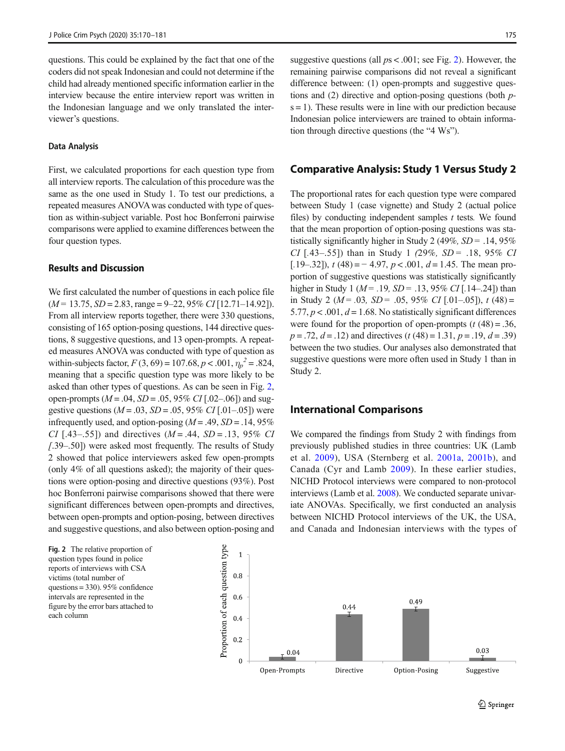questions. This could be explained by the fact that one of the coders did not speak Indonesian and could not determine if the child had already mentioned specific information earlier in the interview because the entire interview report was written in the Indonesian language and we only translated the interviewer's questions.

#### Data Analysis

First, we calculated proportions for each question type from all interview reports. The calculation of this procedure was the same as the one used in Study 1. To test our predictions, a repeated measures ANOVA was conducted with type of question as within-subject variable. Post hoc Bonferroni pairwise comparisons were applied to examine differences between the four question types.

# Results and Discussion

We first calculated the number of questions in each police file  $(M = 13.75, SD = 2.83, range = 9-22, 95\% CI[12.71-14.92]).$ From all interview reports together, there were 330 questions, consisting of 165 option-posing questions, 144 directive questions, 8 suggestive questions, and 13 open-prompts. A repeated measures ANOVA was conducted with type of question as within-subjects factor,  $F(3, 69) = 107.68$ ,  $p < .001$ ,  $\eta_p^2 = .824$ , meaning that a specific question type was more likely to be asked than other types of questions. As can be seen in Fig. 2, open-prompts ( $M = .04$ ,  $SD = .05$ , 95% CI [.02–.06]) and suggestive questions  $(M = .03, SD = .05, 95\% \ CI$  [.01–.05]) were infrequently used, and option-posing  $(M = .49, SD = .14, 95\%)$ CI [.43–.55]) and directives  $(M = .44, SD = .13, 95\%$  CI [.39–.50]) were asked most frequently. The results of Study 2 showed that police interviewers asked few open-prompts (only 4% of all questions asked); the majority of their questions were option-posing and directive questions (93%). Post hoc Bonferroni pairwise comparisons showed that there were significant differences between open-prompts and directives, between open-prompts and option-posing, between directives and suggestive questions, and also between option-posing and

Fig. 2 The relative proportion of question types found in police reports of interviews with CSA victims (total number of questions = 330). 95% confidence intervals are represented in the figure by the error bars attached to each column

suggestive questions (all  $ps < .001$ ; see Fig. 2). However, the remaining pairwise comparisons did not reveal a significant difference between: (1) open-prompts and suggestive questions and (2) directive and option-posing questions (both p $s = 1$ ). These results were in line with our prediction because Indonesian police interviewers are trained to obtain information through directive questions (the "4 Ws").

# Comparative Analysis: Study 1 Versus Study 2

The proportional rates for each question type were compared between Study 1 (case vignette) and Study 2 (actual police files) by conducting independent samples  $t$  tests. We found that the mean proportion of option-posing questions was statistically significantly higher in Study 2 (49%,  $SD = .14,95%$ CI [.43–.55]) than in Study 1 (29%,  $SD = .18$ , 95% CI [.19–.32]),  $t(48) = -4.97$ ,  $p < .001$ ,  $d = 1.45$ . The mean proportion of suggestive questions was statistically significantly higher in Study 1 ( $M = .19$ ,  $SD = .13$ , 95% CI [.14–.24]) than in Study 2 ( $M = .03$ ,  $SD = .05$ , 95% CI [.01–.05]), t (48) = 5.77,  $p < .001$ ,  $d = 1.68$ . No statistically significant differences were found for the proportion of open-prompts  $(t (48) = .36,$  $p = .72, d = .12$ ) and directives  $(t (48) = 1.31, p = .19, d = .39)$ between the two studies. Our analyses also demonstrated that suggestive questions were more often used in Study 1 than in Study 2.

# International Comparisons

We compared the findings from Study 2 with findings from previously published studies in three countries: UK (Lamb et al. [2009\)](#page-10-0), USA (Sternberg et al. [2001a](#page-11-0), [2001b](#page-11-0)), and Canada (Cyr and Lamb [2009](#page-9-0)). In these earlier studies, NICHD Protocol interviews were compared to non-protocol interviews (Lamb et al. [2008](#page-10-0)). We conducted separate univariate ANOVAs. Specifically, we first conducted an analysis between NICHD Protocol interviews of the UK, the USA, and Canada and Indonesian interviews with the types of

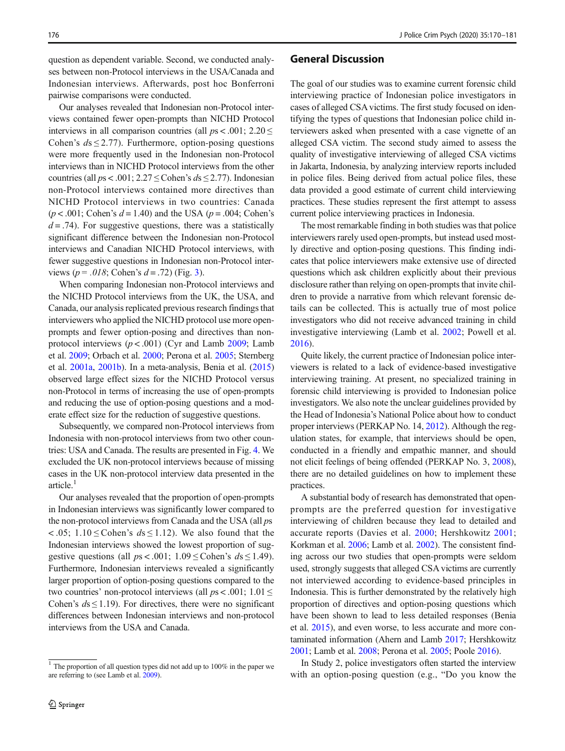question as dependent variable. Second, we conducted analyses between non-Protocol interviews in the USA/Canada and Indonesian interviews. Afterwards, post hoc Bonferroni pairwise comparisons were conducted.

Our analyses revealed that Indonesian non-Protocol interviews contained fewer open-prompts than NICHD Protocol interviews in all comparison countries (all  $ps < .001$ ; 2.20  $\le$ Cohen's  $ds \le 2.77$ ). Furthermore, option-posing questions were more frequently used in the Indonesian non-Protocol interviews than in NICHD Protocol interviews from the other countries (all  $ps < .001$ ;  $2.27 \leq$  Cohen's  $ds \leq$  2.77). Indonesian non-Protocol interviews contained more directives than NICHD Protocol interviews in two countries: Canada  $(p < .001$ ; Cohen's  $d = 1.40$ ) and the USA  $(p = .004$ ; Cohen's  $d = .74$ ). For suggestive questions, there was a statistically significant difference between the Indonesian non-Protocol interviews and Canadian NICHD Protocol interviews, with fewer suggestive questions in Indonesian non-Protocol interviews ( $p = .018$ ; Cohen's  $d = .72$ ) (Fig. [3](#page-7-0)).

When comparing Indonesian non-Protocol interviews and the NICHD Protocol interviews from the UK, the USA, and Canada, our analysis replicated previous research findings that interviewers who applied the NICHD protocol use more openprompts and fewer option-posing and directives than nonprotocol interviews  $(p < .001)$  (Cyr and Lamb [2009;](#page-9-0) Lamb et al. [2009](#page-10-0); Orbach et al. [2000](#page-10-0); Perona et al. [2005](#page-10-0); Sternberg et al. [2001a,](#page-11-0) [2001b\)](#page-11-0). In a meta-analysis, Benia et al. [\(2015\)](#page-9-0) observed large effect sizes for the NICHD Protocol versus non-Protocol in terms of increasing the use of open-prompts and reducing the use of option-posing questions and a moderate effect size for the reduction of suggestive questions.

Subsequently, we compared non-Protocol interviews from Indonesia with non-protocol interviews from two other countries: USA and Canada. The results are presented in Fig. [4.](#page-7-0) We excluded the UK non-protocol interviews because of missing cases in the UK non-protocol interview data presented in the  $article.<sup>1</sup>$ 

Our analyses revealed that the proportion of open-prompts in Indonesian interviews was significantly lower compared to the non-protocol interviews from Canada and the USA (all ps <.05;  $1.10 \leq$  Cohen's  $ds \leq 1.12$ ). We also found that the Indonesian interviews showed the lowest proportion of suggestive questions (all  $ps < .001$ ;  $1.09 \leq$  Cohen's  $ds \leq 1.49$ ). Furthermore, Indonesian interviews revealed a significantly larger proportion of option-posing questions compared to the two countries' non-protocol interviews (all  $ps < .001$ ;  $1.01 \le$ Cohen's  $ds \le 1.19$ ). For directives, there were no significant differences between Indonesian interviews and non-protocol interviews from the USA and Canada.

# General Discussion

The goal of our studies was to examine current forensic child interviewing practice of Indonesian police investigators in cases of alleged CSA victims. The first study focused on identifying the types of questions that Indonesian police child interviewers asked when presented with a case vignette of an alleged CSA victim. The second study aimed to assess the quality of investigative interviewing of alleged CSA victims in Jakarta, Indonesia, by analyzing interview reports included in police files. Being derived from actual police files, these data provided a good estimate of current child interviewing practices. These studies represent the first attempt to assess current police interviewing practices in Indonesia.

The most remarkable finding in both studies was that police interviewers rarely used open-prompts, but instead used mostly directive and option-posing questions. This finding indicates that police interviewers make extensive use of directed questions which ask children explicitly about their previous disclosure rather than relying on open-prompts that invite children to provide a narrative from which relevant forensic details can be collected. This is actually true of most police investigators who did not receive advanced training in child investigative interviewing (Lamb et al. [2002;](#page-10-0) Powell et al. [2016\)](#page-10-0).

Quite likely, the current practice of Indonesian police interviewers is related to a lack of evidence-based investigative interviewing training. At present, no specialized training in forensic child interviewing is provided to Indonesian police investigators. We also note the unclear guidelines provided by the Head of Indonesia's National Police about how to conduct proper interviews (PERKAP No. 14, [2012\)](#page-10-0). Although the regulation states, for example, that interviews should be open, conducted in a friendly and empathic manner, and should not elicit feelings of being offended (PERKAP No. 3, [2008\)](#page-10-0), there are no detailed guidelines on how to implement these practices.

A substantial body of research has demonstrated that openprompts are the preferred question for investigative interviewing of children because they lead to detailed and accurate reports (Davies et al. [2000;](#page-9-0) Hershkowitz [2001;](#page-10-0) Korkman et al. [2006;](#page-10-0) Lamb et al. [2002](#page-10-0)). The consistent finding across our two studies that open-prompts were seldom used, strongly suggests that alleged CSA victims are currently not interviewed according to evidence-based principles in Indonesia. This is further demonstrated by the relatively high proportion of directives and option-posing questions which have been shown to lead to less detailed responses (Benia et al. [2015](#page-9-0)), and even worse, to less accurate and more contaminated information (Ahern and Lamb [2017;](#page-9-0) Hershkowitz [2001;](#page-10-0) Lamb et al. [2008](#page-10-0); Perona et al. [2005](#page-10-0); Poole [2016\)](#page-10-0).

In Study 2, police investigators often started the interview with an option-posing question (e.g., "Do you know the

<sup>&</sup>lt;sup>1</sup> The proportion of all question types did not add up to  $100\%$  in the paper we are referring to (see Lamb et al. [2009](#page-10-0)).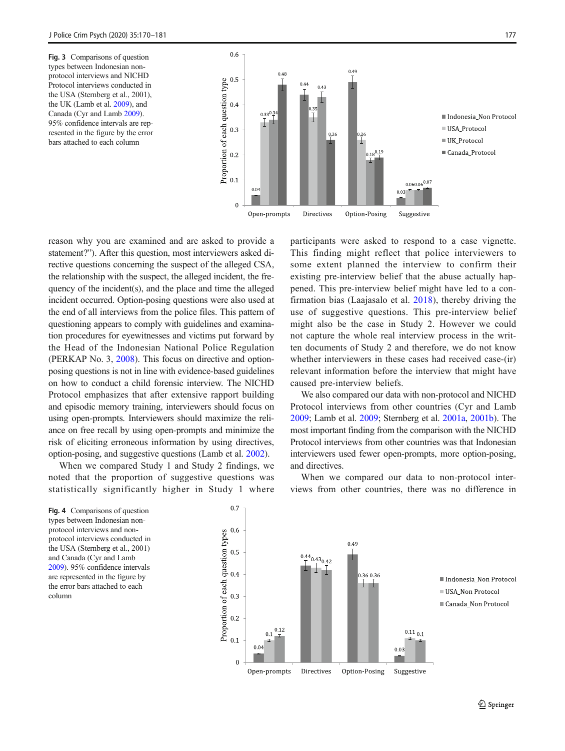<span id="page-7-0"></span>Fig. 3 Comparisons of question types between Indonesian nonprotocol interviews and NICHD Protocol interviews conducted in the USA (Sternberg et al., 2001), the UK (Lamb et al. [2009](#page-10-0)), and Canada (Cyr and Lamb [2009](#page-9-0)). 95% confidence intervals are represented in the figure by the error bars attached to each column



reason why you are examined and are asked to provide a statement?"). After this question, most interviewers asked directive questions concerning the suspect of the alleged CSA, the relationship with the suspect, the alleged incident, the frequency of the incident(s), and the place and time the alleged incident occurred. Option-posing questions were also used at the end of all interviews from the police files. This pattern of questioning appears to comply with guidelines and examination procedures for eyewitnesses and victims put forward by the Head of the Indonesian National Police Regulation (PERKAP No. 3, [2008\)](#page-10-0). This focus on directive and optionposing questions is not in line with evidence-based guidelines on how to conduct a child forensic interview. The NICHD Protocol emphasizes that after extensive rapport building and episodic memory training, interviewers should focus on using open-prompts. Interviewers should maximize the reliance on free recall by using open-prompts and minimize the risk of eliciting erroneous information by using directives, option-posing, and suggestive questions (Lamb et al. [2002\)](#page-10-0).

When we compared Study 1 and Study 2 findings, we noted that the proportion of suggestive questions was statistically significantly higher in Study 1 where participants were asked to respond to a case vignette. This finding might reflect that police interviewers to some extent planned the interview to confirm their existing pre-interview belief that the abuse actually happened. This pre-interview belief might have led to a confirmation bias (Laajasalo et al. [2018](#page-10-0)), thereby driving the use of suggestive questions. This pre-interview belief might also be the case in Study 2. However we could not capture the whole real interview process in the written documents of Study 2 and therefore, we do not know whether interviewers in these cases had received case-(ir) relevant information before the interview that might have caused pre-interview beliefs.

We also compared our data with non-protocol and NICHD Protocol interviews from other countries (Cyr and Lamb [2009;](#page-9-0) Lamb et al. [2009;](#page-10-0) Sternberg et al. [2001a,](#page-11-0) [2001b\)](#page-11-0). The most important finding from the comparison with the NICHD Protocol interviews from other countries was that Indonesian interviewers used fewer open-prompts, more option-posing, and directives.

When we compared our data to non-protocol interviews from other countries, there was no difference in

Fig. 4 Comparisons of question types between Indonesian nonprotocol interviews and nonprotocol interviews conducted in the USA (Sternberg et al., 2001) and Canada (Cyr and Lamb [2009\)](#page-9-0). 95% confidence intervals are represented in the figure by the error bars attached to each column

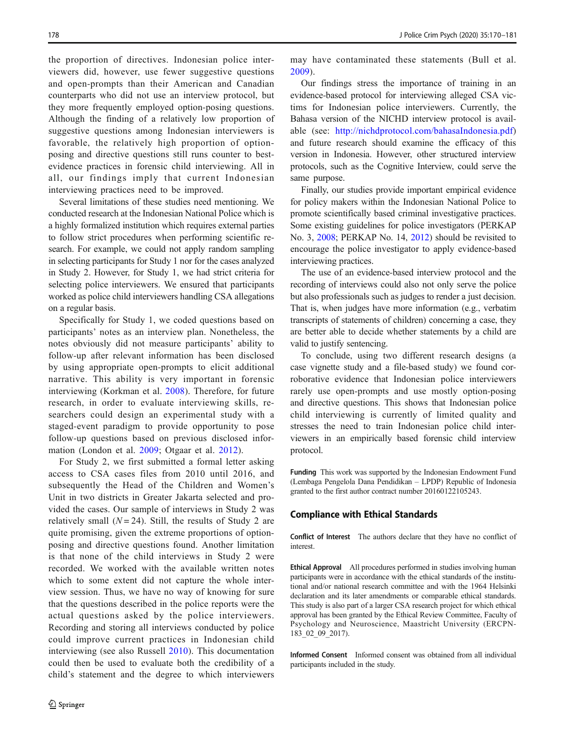the proportion of directives. Indonesian police interviewers did, however, use fewer suggestive questions and open-prompts than their American and Canadian counterparts who did not use an interview protocol, but they more frequently employed option-posing questions. Although the finding of a relatively low proportion of suggestive questions among Indonesian interviewers is favorable, the relatively high proportion of optionposing and directive questions still runs counter to bestevidence practices in forensic child interviewing. All in all, our findings imply that current Indonesian interviewing practices need to be improved.

Several limitations of these studies need mentioning. We conducted research at the Indonesian National Police which is a highly formalized institution which requires external parties to follow strict procedures when performing scientific research. For example, we could not apply random sampling in selecting participants for Study 1 nor for the cases analyzed in Study 2. However, for Study 1, we had strict criteria for selecting police interviewers. We ensured that participants worked as police child interviewers handling CSA allegations on a regular basis.

Specifically for Study 1, we coded questions based on participants' notes as an interview plan. Nonetheless, the notes obviously did not measure participants' ability to follow-up after relevant information has been disclosed by using appropriate open-prompts to elicit additional narrative. This ability is very important in forensic interviewing (Korkman et al. [2008\)](#page-10-0). Therefore, for future research, in order to evaluate interviewing skills, researchers could design an experimental study with a staged-event paradigm to provide opportunity to pose follow-up questions based on previous disclosed information (London et al. [2009](#page-10-0); Otgaar et al. [2012](#page-10-0)).

For Study 2, we first submitted a formal letter asking access to CSA cases files from 2010 until 2016, and subsequently the Head of the Children and Women's Unit in two districts in Greater Jakarta selected and provided the cases. Our sample of interviews in Study 2 was relatively small  $(N = 24)$ . Still, the results of Study 2 are quite promising, given the extreme proportions of optionposing and directive questions found. Another limitation is that none of the child interviews in Study 2 were recorded. We worked with the available written notes which to some extent did not capture the whole interview session. Thus, we have no way of knowing for sure that the questions described in the police reports were the actual questions asked by the police interviewers. Recording and storing all interviews conducted by police could improve current practices in Indonesian child interviewing (see also Russell [2010](#page-11-0)). This documentation could then be used to evaluate both the credibility of a child's statement and the degree to which interviewers

may have contaminated these statements (Bull et al. [2009](#page-9-0)).

Our findings stress the importance of training in an evidence-based protocol for interviewing alleged CSA victims for Indonesian police interviewers. Currently, the Bahasa version of the NICHD interview protocol is available (see: <http://nichdprotocol.com/bahasaIndonesia.pdf>) and future research should examine the efficacy of this version in Indonesia. However, other structured interview protocols, such as the Cognitive Interview, could serve the same purpose.

Finally, our studies provide important empirical evidence for policy makers within the Indonesian National Police to promote scientifically based criminal investigative practices. Some existing guidelines for police investigators (PERKAP No. 3, [2008;](#page-10-0) PERKAP No. 14, [2012\)](#page-10-0) should be revisited to encourage the police investigator to apply evidence-based interviewing practices.

The use of an evidence-based interview protocol and the recording of interviews could also not only serve the police but also professionals such as judges to render a just decision. That is, when judges have more information (e.g., verbatim transcripts of statements of children) concerning a case, they are better able to decide whether statements by a child are valid to justify sentencing.

To conclude, using two different research designs (a case vignette study and a file-based study) we found corroborative evidence that Indonesian police interviewers rarely use open-prompts and use mostly option-posing and directive questions. This shows that Indonesian police child interviewing is currently of limited quality and stresses the need to train Indonesian police child interviewers in an empirically based forensic child interview protocol.

Funding This work was supported by the Indonesian Endowment Fund (Lembaga Pengelola Dana Pendidikan – LPDP) Republic of Indonesia granted to the first author contract number 20160122105243.

## Compliance with Ethical Standards

Conflict of Interest The authors declare that they have no conflict of interest.

Ethical Approval All procedures performed in studies involving human participants were in accordance with the ethical standards of the institutional and/or national research committee and with the 1964 Helsinki declaration and its later amendments or comparable ethical standards. This study is also part of a larger CSA research project for which ethical approval has been granted by the Ethical Review Committee, Faculty of Psychology and Neuroscience, Maastricht University (ERCPN-183\_02\_09\_2017).

Informed Consent Informed consent was obtained from all individual participants included in the study.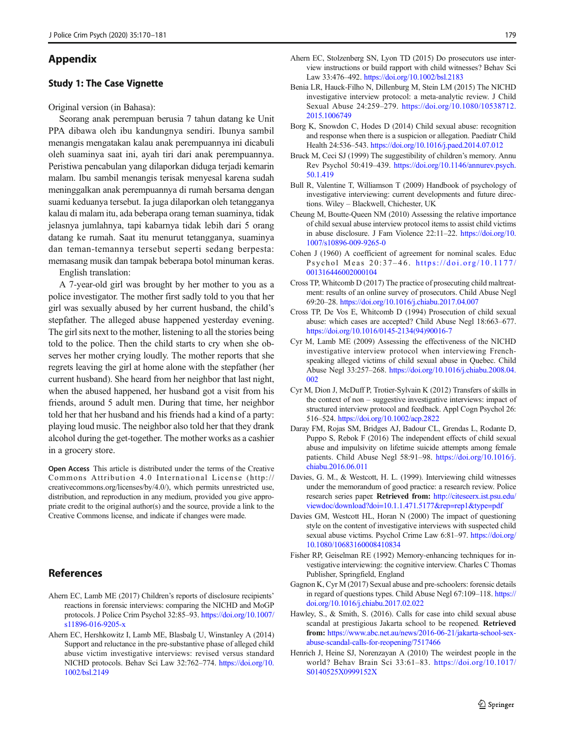# <span id="page-9-0"></span>Appendix

# Study 1: The Case Vignette

Original version (in Bahasa):

Seorang anak perempuan berusia 7 tahun datang ke Unit PPA dibawa oleh ibu kandungnya sendiri. Ibunya sambil menangis mengatakan kalau anak perempuannya ini dicabuli oleh suaminya saat ini, ayah tiri dari anak perempuannya. Peristiwa pencabulan yang dilaporkan diduga terjadi kemarin malam. Ibu sambil menangis terisak menyesal karena sudah meninggalkan anak perempuannya di rumah bersama dengan suami keduanya tersebut. Ia juga dilaporkan oleh tetangganya kalau di malam itu, ada beberapa orang teman suaminya, tidak jelasnya jumlahnya, tapi kabarnya tidak lebih dari 5 orang datang ke rumah. Saat itu menurut tetangganya, suaminya dan teman-temannya tersebut seperti sedang berpesta: memasang musik dan tampak beberapa botol minuman keras.

English translation:

A 7-year-old girl was brought by her mother to you as a police investigator. The mother first sadly told to you that her girl was sexually abused by her current husband, the child's stepfather. The alleged abuse happened yesterday evening. The girl sits next to the mother, listening to all the stories being told to the police. Then the child starts to cry when she observes her mother crying loudly. The mother reports that she regrets leaving the girl at home alone with the stepfather (her current husband). She heard from her neighbor that last night, when the abused happened, her husband got a visit from his friends, around 5 adult men. During that time, her neighbor told her that her husband and his friends had a kind of a party: playing loud music. The neighbor also told her that they drank alcohol during the get-together. The mother works as a cashier in a grocery store.

Open Access This article is distributed under the terms of the Creative Commons Attribution 4.0 International License (http:// creativecommons.org/licenses/by/4.0/), which permits unrestricted use, distribution, and reproduction in any medium, provided you give appropriate credit to the original author(s) and the source, provide a link to the Creative Commons license, and indicate if changes were made.

# References

- Ahern EC, Lamb ME (2017) Children's reports of disclosure recipients' reactions in forensic interviews: comparing the NICHD and MoGP protocols. J Police Crim Psychol 32:85–93. [https://doi.org/10.1007/](https://doi.org/10.1007/s11896-016-9205-x) [s11896-016-9205-x](https://doi.org/10.1007/s11896-016-9205-x)
- Ahern EC, Hershkowitz I, Lamb ME, Blasbalg U, Winstanley A (2014) Support and reluctance in the pre-substantive phase of alleged child abuse victim investigative interviews: revised versus standard NICHD protocols. Behav Sci Law 32:762–774. [https://doi.org/10.](https://doi.org/10.1002/bsl.2149) [1002/bsl.2149](https://doi.org/10.1002/bsl.2149)
- Ahern EC, Stolzenberg SN, Lyon TD (2015) Do prosecutors use interview instructions or build rapport with child witnesses? Behav Sci Law 33:476–492. <https://doi.org/10.1002/bsl.2183>
- Benia LR, Hauck-Filho N, Dillenburg M, Stein LM (2015) The NICHD investigative interview protocol: a meta-analytic review. J Child Sexual Abuse 24:259–279. [https://doi.org/10.1080/10538712.](https://doi.org/10.1080/10538712.2015.1006749) [2015.1006749](https://doi.org/10.1080/10538712.2015.1006749)
- Borg K, Snowdon C, Hodes D (2014) Child sexual abuse: recognition and response when there is a suspicion or allegation. Paediatr Child Health 24:536–543. <https://doi.org/10.1016/j.paed.2014.07.012>
- Bruck M, Ceci SJ (1999) The suggestibility of children's memory. Annu Rev Psychol 50:419–439. [https://doi.org/10.1146/annurev.psych.](https://doi.org/10.1146/annurev.psych.50.1.419) [50.1.419](https://doi.org/10.1146/annurev.psych.50.1.419)
- Bull R, Valentine T, Williamson T (2009) Handbook of psychology of investigative interviewing: current developments and future directions. Wiley – Blackwell, Chichester, UK
- Cheung M, Boutte-Queen NM (2010) Assessing the relative importance of child sexual abuse interview protocol items to assist child victims in abuse disclosure. J Fam Violence 22:11–22. [https://doi.org/10.](https://doi.org/10.1007/s10896-009-9265-0) [1007/s10896-009-9265-0](https://doi.org/10.1007/s10896-009-9265-0)
- Cohen J (1960) A coefficient of agreement for nominal scales. Educ Psychol Meas 20:37 – 46. [https://doi.org/10.1177/](https://doi.org/10.1177/001316446002000104) [001316446002000104](https://doi.org/10.1177/001316446002000104)
- Cross TP, Whitcomb D (2017) The practice of prosecuting child maltreatment: results of an online survey of prosecutors. Child Abuse Negl 69:20–28. <https://doi.org/10.1016/j.chiabu.2017.04.007>
- Cross TP, De Vos E, Whitcomb D (1994) Prosecution of child sexual abuse: which cases are accepted? Child Abuse Negl 18:663–677. [https://doi.org/10.1016/0145-2134\(94\)90016-7](https://doi.org/10.1016/0145-2134(94)90016-7)
- Cyr M, Lamb ME (2009) Assessing the effectiveness of the NICHD investigative interview protocol when interviewing Frenchspeaking alleged victims of child sexual abuse in Quebec. Child Abuse Negl 33:257–268. [https://doi.org/10.1016/j.chiabu.2008.04.](https://doi.org/10.1016/j.chiabu.2008.04.002) [002](https://doi.org/10.1016/j.chiabu.2008.04.002)
- Cyr M, Dion J, McDuff P, Trotier-Sylvain K (2012) Transfers of skills in the context of non – suggestive investigative interviews: impact of structured interview protocol and feedback. Appl Cogn Psychol 26: 516–524. <https://doi.org/10.1002/acp.2822>
- Daray FM, Rojas SM, Bridges AJ, Badour CL, Grendas L, Rodante D, Puppo S, Rebok F (2016) The independent effects of child sexual abuse and impulsivity on lifetime suicide attempts among female patients. Child Abuse Negl 58:91–98. [https://doi.org/10.1016/j.](https://doi.org/10.1016/j.chiabu.2016.06.011) [chiabu.2016.06.011](https://doi.org/10.1016/j.chiabu.2016.06.011)
- Davies, G. M., & Westcott, H. L. (1999). Interviewing child witnesses under the memorandum of good practice: a research review. Police research series paper. Retrieved from: [http://citeseerx.ist.psu.edu/](http://citeseerx.ist.psu.edu/viewdoc/download?doi=10.1.1.471.5177&rep=rep1&type=pdf) [viewdoc/download?doi=10.1.1.471.5177&rep=rep1&type=pdf](http://citeseerx.ist.psu.edu/viewdoc/download?doi=10.1.1.471.5177&rep=rep1&type=pdf)
- Davies GM, Westcott HL, Horan N (2000) The impact of questioning style on the content of investigative interviews with suspected child sexual abuse victims. Psychol Crime Law 6:81–97. [https://doi.org/](https://doi.org/10.1080/10683160008410834) [10.1080/10683160008410834](https://doi.org/10.1080/10683160008410834)
- Fisher RP, Geiselman RE (1992) Memory-enhancing techniques for investigative interviewing: the cognitive interview. Charles C Thomas Publisher, Springfield, England
- Gagnon K, Cyr M (2017) Sexual abuse and pre-schoolers: forensic details in regard of questions types. Child Abuse Negl 67:109–118. [https://](https://doi.org/10.1016/j.chiabu.2017.02.022) [doi.org/10.1016/j.chiabu.2017.02.022](https://doi.org/10.1016/j.chiabu.2017.02.022)
- Hawley, S., & Smith, S. (2016). Calls for case into child sexual abuse scandal at prestigious Jakarta school to be reopened. Retrieved from: [https://www.abc.net.au/news/2016-06-21/jakarta-school-sex](https://www.abc.net.au/news/2016-06-21/jakarta-school-sex-abuse-scandal-calls-for-reopening/7517466)[abuse-scandal-calls-for-reopening/7517466](https://www.abc.net.au/news/2016-06-21/jakarta-school-sex-abuse-scandal-calls-for-reopening/7517466)
- Henrich J, Heine SJ, Norenzayan A (2010) The weirdest people in the world? Behav Brain Sci 33:61–83. [https://doi.org/10.1017/](https://doi.org/10.1017/S0140525X0999152X) [S0140525X0999152X](https://doi.org/10.1017/S0140525X0999152X)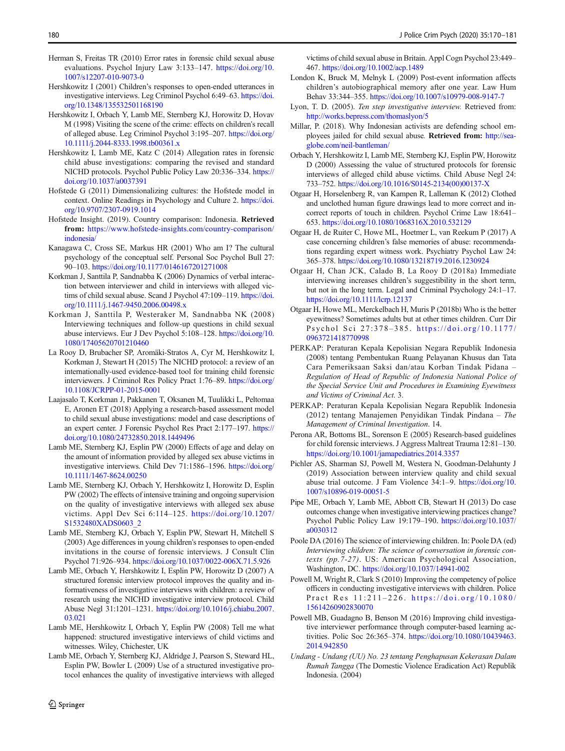- <span id="page-10-0"></span>Herman S, Freitas TR (2010) Error rates in forensic child sexual abuse evaluations. Psychol Injury Law 3:133–147. [https://doi.org/10.](https://doi.org/10.1007/s12207-010-9073-0) [1007/s12207-010-9073-0](https://doi.org/10.1007/s12207-010-9073-0)
- Hershkowitz I (2001) Children's responses to open-ended utterances in investigative interviews. Leg Criminol Psychol 6:49–63. [https://doi.](https://doi.org/10.1348/135532501168190) [org/10.1348/135532501168190](https://doi.org/10.1348/135532501168190)
- Hershkowitz I, Orbach Y, Lamb ME, Sternberg KJ, Horowitz D, Hovav M (1998) Visiting the scene of the crime: effects on children's recall of alleged abuse. Leg Criminol Psychol 3:195–207. [https://doi.org/](https://doi.org/10.1111/j.2044-8333.1998.tb00361.x) [10.1111/j.2044-8333.1998.tb00361.x](https://doi.org/10.1111/j.2044-8333.1998.tb00361.x)
- Hershkowitz I, Lamb ME, Katz C (2014) Allegation rates in forensic child abuse investigations: comparing the revised and standard NICHD protocols. Psychol Public Policy Law 20:336–334. [https://](https://doi.org/10.1037/a0037391) [doi.org/10.1037/a0037391](https://doi.org/10.1037/a0037391)
- Hofstede G (2011) Dimensionalizing cultures: the Hofstede model in context. Online Readings in Psychology and Culture 2. [https://doi.](https://doi.org/10.9707/2307-0919.1014) [org/10.9707/2307-0919.1014](https://doi.org/10.9707/2307-0919.1014)
- Hofstede Insight. (2019). Country comparison: Indonesia. Retrieved from: [https://www.hofstede-insights.com/country-comparison/](https://www.hofstede-insights.com/country-comparison/indonesia/) [indonesia/](https://www.hofstede-insights.com/country-comparison/indonesia/)
- Kanagawa C, Cross SE, Markus HR (2001) Who am I? The cultural psychology of the conceptual self. Personal Soc Psychol Bull 27: 90–103. <https://doi.org/10.1177/0146167201271008>
- Korkman J, Santtila P, Sandnabba K (2006) Dynamics of verbal interaction between interviewer and child in interviews with alleged victims of child sexual abuse. Scand J Psychol 47:109-119. [https://doi.](https://doi.org/10.1111/j.1467-9450.2006.00498.x) [org/10.1111/j.1467-9450.2006.00498.x](https://doi.org/10.1111/j.1467-9450.2006.00498.x)
- Korkman J, Santtila P, Westeraker M, Sandnabba NK (2008) Interviewing techniques and follow-up questions in child sexual abuse interviews. Eur J Dev Psychol 5:108–128. [https://doi.org/10.](https://doi.org/10.1080/17405620701210460) [1080/17405620701210460](https://doi.org/10.1080/17405620701210460)
- La Rooy D, Brubacher SP, Aromäki-Stratos A, Cyr M, Hershkowitz I, Korkman J, Stewart H (2015) The NICHD protocol: a review of an internationally-used evidence-based tool for training child forensic interviewers. J Criminol Res Policy Pract 1:76–89. [https://doi.org/](https://doi.org/10.1108/JCRPP-01-2015-0001) [10.1108/JCRPP-01-2015-0001](https://doi.org/10.1108/JCRPP-01-2015-0001)
- Laajasalo T, Korkman J, Pakkanen T, Oksanen M, Tuulikki L, Peltomaa E, Aronen ET (2018) Applying a research-based assessment model to child sexual abuse investigations: model and case descriptions of an expert center. J Forensic Psychol Res Pract 2:177–197. [https://](https://doi.org/10.1080/24732850.2018.1449496) [doi.org/10.1080/24732850.2018.1449496](https://doi.org/10.1080/24732850.2018.1449496)
- Lamb ME, Sternberg KJ, Esplin PW (2000) Effects of age and delay on the amount of information provided by alleged sex abuse victims in investigative interviews. Child Dev 71:1586–1596. [https://doi.org/](https://doi.org/10.1111/1467-8624.00250) [10.1111/1467-8624.00250](https://doi.org/10.1111/1467-8624.00250)
- Lamb ME, Sternberg KJ, Orbach Y, Hershkowitz I, Horowitz D, Esplin PW (2002) The effects of intensive training and ongoing supervision on the quality of investigative interviews with alleged sex abuse victims. Appl Dev Sci 6:114–125. [https://doi.org/10.1207/](https://doi.org/10.1207/S1532480XADS0603_2) [S1532480XADS0603\\_2](https://doi.org/10.1207/S1532480XADS0603_2)
- Lamb ME, Sternberg KJ, Orbach Y, Esplin PW, Stewart H, Mitchell S (2003) Age differences in young children's responses to open-ended invitations in the course of forensic interviews. J Consult Clin Psychol 71:926–934. <https://doi.org/10.1037/0022-006X.71.5.926>
- Lamb ME, Orbach Y, Hershkowitz I, Esplin PW, Horowitz D (2007) A structured forensic interview protocol improves the quality and informativeness of investigative interviews with children: a review of research using the NICHD investigative interview protocol. Child Abuse Negl 31:1201–1231. [https://doi.org/10.1016/j.chiabu.2007.](https://doi.org/10.1016/j.chiabu.2007.03.021) [03.021](https://doi.org/10.1016/j.chiabu.2007.03.021)
- Lamb ME, Hershkowitz I, Orbach Y, Esplin PW (2008) Tell me what happened: structured investigative interviews of child victims and witnesses. Wiley, Chichester, UK
- Lamb ME, Orbach Y, Sternberg KJ, Aldridge J, Pearson S, Steward HL, Esplin PW, Bowler L (2009) Use of a structured investigative protocol enhances the quality of investigative interviews with alleged

victims of child sexual abuse in Britain. Appl Cogn Psychol 23:449– 467. <https://doi.org/10.1002/acp.1489>

- London K, Bruck M, Melnyk L (2009) Post-event information affects children's autobiographical memory after one year. Law Hum Behav 33:344–355. <https://doi.org/10.1007/s10979-008-9147-7>
- Lyon, T. D. (2005). Ten step investigative interview. Retrieved from: <http://works.bepress.com/thomaslyon/5>
- Millar, P. (2018). Why Indonesian activists are defending school employees jailed for child sexual abuse. Retrieved from: [http://sea](http://sea-globe.com/neil-bantleman/)[globe.com/neil-bantleman/](http://sea-globe.com/neil-bantleman/)
- Orbach Y, Hershkowitz I, Lamb ME, Sternberg KJ, Esplin PW, Horowitz D (2000) Assessing the value of structured protocols for forensic interviews of alleged child abuse victims. Child Abuse Negl 24: 733–752. [https://doi.org/10.1016/S0145-2134\(00\)00137-X](https://doi.org/10.1016/S0145-2134(00)00137-X)
- Otgaar H, Horselenberg R, van Kampen R, Lalleman K (2012) Clothed and unclothed human figure drawings lead to more correct and incorrect reports of touch in children. Psychol Crime Law 18:641– 653. <https://doi.org/10.1080/1068316X.2010.532129>
- Otgaar H, de Ruiter C, Howe ML, Hoetmer L, van Reekum P (2017) A case concerning children's false memories of abuse: recommendations regarding expert witness work. Psychiatry Psychol Law 24: 365–378. <https://doi.org/10.1080/13218719.2016.1230924>
- Otgaar H, Chan JCK, Calado B, La Rooy D (2018a) Immediate interviewing increases children's suggestibility in the short term, but not in the long term. Legal and Criminal Psychology 24:1–17. <https://doi.org/10.1111/lcrp.12137>
- Otgaar H, Howe ML, Merckelbach H, Muris P (2018b) Who is the better eyewitness? Sometimes adults but at other times children. Curr Dir Psychol Sci 27:378 – 385. [https://doi.org/10.1177/](https://doi.org/10.1177/0963721418770998) [0963721418770998](https://doi.org/10.1177/0963721418770998)
- PERKAP: Peraturan Kepala Kepolisian Negara Republik Indonesia (2008) tentang Pembentukan Ruang Pelayanan Khusus dan Tata Cara Pemeriksaan Saksi dan/atau Korban Tindak Pidana – Regulation of Head of Republic of Indonesia National Police of the Special Service Unit and Procedures in Examining Eyewitness and Victims of Criminal Act. 3.
- PERKAP: Peraturan Kepala Kepolisian Negara Republik Indonesia (2012) tentang Manajemen Penyidikan Tindak Pindana – The Management of Criminal Investigation. 14.
- Perona AR, Bottoms BL, Sorenson E (2005) Research-based guidelines for child forensic interviews. J Aggress Maltreat Trauma 12:81–130. <https://doi.org/10.1001/jamapediatrics.2014.3357>
- Pichler AS, Sharman SJ, Powell M, Westera N, Goodman-Delahunty J (2019) Association between interview quality and child sexual abuse trial outcome. J Fam Violence 34:1–9. [https://doi.org/10.](https://doi.org/10.1007/s10896-019-00051-5) [1007/s10896-019-00051-5](https://doi.org/10.1007/s10896-019-00051-5)
- Pipe ME, Orbach Y, Lamb ME, Abbott CB, Stewart H (2013) Do case outcomes change when investigative interviewing practices change? Psychol Public Policy Law 19:179–190. [https://doi.org/10.1037/](https://doi.org/10.1037/a0030312) [a0030312](https://doi.org/10.1037/a0030312)
- Poole DA (2016) The science of interviewing children. In: Poole DA (ed) Interviewing children: The science of conversation in forensic contexts (pp.7-27). US: American Psychological Association, Washington, DC. <https://doi.org/10.1037/14941-002>
- Powell M, Wright R, Clark S (2010) Improving the competency of police officers in conducting investigative interviews with children. Police Pract Res 11:211-226. [https://doi.org/10.1080/](https://doi.org/10.1080/15614260902830070) [15614260902830070](https://doi.org/10.1080/15614260902830070)
- Powell MB, Guadagno B, Benson M (2016) Improving child investigative interviewer performance through computer-based learning activities. Polic Soc 26:365–374. [https://doi.org/10.1080/10439463.](https://doi.org/10.1080/10439463.2014.942850) [2014.942850](https://doi.org/10.1080/10439463.2014.942850)
- Undang Undang (UU) No. 23 tentang Penghapusan Kekerasan Dalam Rumah Tangga (The Domestic Violence Eradication Act) Republik Indonesia. (2004)